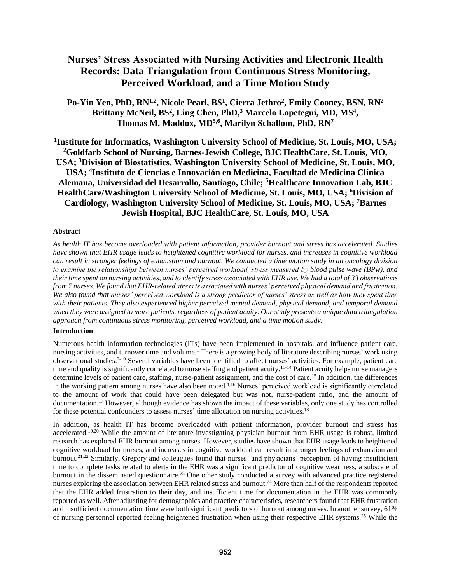# **Nurses' Stress Associated with Nursing Activities and Electronic Health Records: Data Triangulation from Continuous Stress Monitoring, Perceived Workload, and a Time Motion Study**

**Po-Yin Yen, PhD, RN1,2, Nicole Pearl, BS<sup>1</sup> , Cierra Jethro<sup>2</sup> , Emily Cooney, BSN, RN<sup>2</sup> Brittany McNeil, BS<sup>2</sup> , Ling Chen, PhD,<sup>3</sup> Marcelo Lopetegui, MD, MS<sup>4</sup> , Thomas M. Maddox, MD5,6 , Marilyn Schallom, PhD, RN<sup>7</sup>**

**1 Institute for Informatics, Washington University School of Medicine, St. Louis, MO, USA; <sup>2</sup>Goldfarb School of Nursing, Barnes-Jewish College, BJC HealthCare, St. Louis, MO, USA; <sup>3</sup>Division of Biostatistics, Washington University School of Medicine, St. Louis, MO, USA; <sup>4</sup> Instituto de Ciencias e Innovación en Medicina, Facultad de Medicina Clínica Alemana, Universidad del Desarrollo, Santiago, Chile; <sup>5</sup>Healthcare Innovation Lab, BJC HealthCare/Washington University School of Medicine, St. Louis, MO, USA; <sup>6</sup>Division of Cardiology, Washington University School of Medicine, St. Louis, MO, USA; <sup>7</sup>Barnes Jewish Hospital, BJC HealthCare, St. Louis, MO, USA**

# **Abstract**

*As health IT has become overloaded with patient information, provider burnout and stress has accelerated. Studies have shown that EHR usage leads to heightened cognitive workload for nurses, and increases in cognitive workload can result in stronger feelings of exhaustion and burnout. We conducted a time motion study in an oncology division to examine the relationships between nurses' perceived workload, stress measured by blood pulse wave (BPw), and their time spent on nursing activities, and to identify stress associated with EHR use. We had a total of 33 observations from 7 nurses. We found that EHR-related stress is associated with nurses' perceived physical demand and frustration. We also found that nurses' perceived workload is a strong predictor of nurses' stress as well as how they spent time with their patients. They also experienced higher perceived mental demand, physical demand, and temporal demand when they were assigned to more patients, regardless of patient acuity. Our study presents a unique data triangulation approach from continuous stress monitoring, perceived workload, and a time motion study.*

## **Introduction**

Numerous health information technologies (ITs) have been implemented in hospitals, and influence patient care, nursing activities, and turnover time and volume.<sup>1</sup> There is a growing body of literature describing nurses' work using observational studies. 2-10 Several variables have been identified to affect nurses' activities. For example, patient care time and quality is significantly correlated to nurse staffing and patient acuity.<sup>11-14</sup> Patient acuity helps nurse managers determine levels of patient care, staffing, nurse-patient assignment, and the cost of care.<sup>15</sup> In addition, the differences in the working pattern among nurses have also been noted.<sup>1,16</sup> Nurses' perceived workload is significantly correlated to the amount of work that could have been delegated but was not, nurse-patient ratio, and the amount of documentation.<sup>17</sup> However, although evidence has shown the impact of these variables, only one study has controlled for these potential confounders to assess nurses' time allocation on nursing activities.<sup>18</sup>

In addition, as health IT has become overloaded with patient information, provider burnout and stress has accelerated.19,20 While the amount of literature investigating physician burnout from EHR usage is robust, limited research has explored EHR burnout among nurses. However, studies have shown that EHR usage leads to heightened cognitive workload for nurses, and increases in cognitive workload can result in stronger feelings of exhaustion and burnout.<sup>21,22</sup> Similarly, Gregory and colleagues found that nurses' and physicians' perception of having insufficient time to complete tasks related to alerts in the EHR was a significant predictor of cognitive weariness, a subscale of burnout in the disseminated questionnaire.<sup>23</sup> One other study conducted a survey with advanced practice registered nurses exploring the association between EHR related stress and burnout.<sup>24</sup> More than half of the respondents reported that the EHR added frustration to their day, and insufficient time for documentation in the EHR was commonly reported as well. After adjusting for demographics and practice characteristics, researchers found that EHR frustration and insufficient documentation time were both significant predictors of burnout among nurses. In another survey, 61% of nursing personnel reported feeling heightened frustration when using their respective EHR systems.<sup>25</sup> While the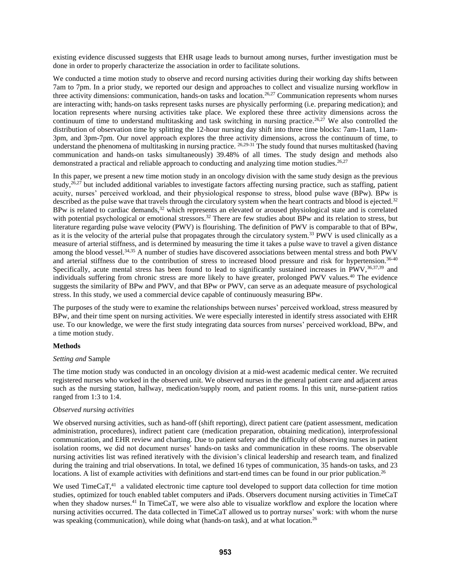existing evidence discussed suggests that EHR usage leads to burnout among nurses, further investigation must be done in order to properly characterize the association in order to facilitate solutions.

We conducted a time motion study to observe and record nursing activities during their working day shifts between 7am to 7pm. In a prior study, we reported our design and approaches to collect and visualize nursing workflow in three activity dimensions: communication, hands-on tasks and location.<sup>26,27</sup> Communication represents whom nurses are interacting with; hands-on tasks represent tasks nurses are physically performing (i.e. preparing medication); and location represents where nursing activities take place. We explored these three activity dimensions across the continuum of time to understand multitasking and task switching in nursing practice.<sup>26,27</sup> We also controlled the distribution of observation time by splitting the 12-hour nursing day shift into three time blocks: 7am-11am, 11am-3pm, and 3pm-7pm. Our novel approach explores the three activity dimensions, across the continuum of time, to understand the phenomena of multitasking in nursing practice. <sup>26,29-31</sup> The study found that nurses multitasked (having communication and hands-on tasks simultaneously) 39.48% of all times. The study design and methods also demonstrated a practical and reliable approach to conducting and analyzing time motion studies.<sup>26,27</sup>

In this paper, we present a new time motion study in an oncology division with the same study design as the previous study,<sup>26,27</sup> but included additional variables to investigate factors affecting nursing practice, such as staffing, patient acuity, nurses' perceived workload, and their physiological response to stress, blood pulse wave (BPw). BPw is described as the pulse wave that travels through the circulatory system when the heart contracts and blood is ejected.<sup>32</sup> BPw is related to cardiac demands,<sup>32</sup> which represents an elevated or aroused physiological state and is correlated with potential psychological or emotional stressors.<sup>32</sup> There are few studies about BPw and its relation to stress, but literature regarding pulse wave velocity (PWV) is flourishing. The definition of PWV is comparable to that of BPw, as it is the velocity of the arterial pulse that propagates through the circulatory system.<sup>33</sup> PWV is used clinically as a measure of arterial stiffness, and is determined by measuring the time it takes a pulse wave to travel a given distance among the blood vessel.34,35 A number of studies have discovered associations between mental stress and both PWV and arterial stiffness due to the contribution of stress to increased blood pressure and risk for hypertension.36-40 Specifically, acute mental stress has been found to lead to significantly sustained increases in PWV,<sup>36,37,39</sup> and individuals suffering from chronic stress are more likely to have greater, prolonged PWV values.<sup>40</sup> The evidence suggests the similarity of BPw and PWV, and that BPw or PWV, can serve as an adequate measure of psychological stress. In this study, we used a commercial device capable of continuously measuring BPw.

The purposes of the study were to examine the relationships between nurses' perceived workload, stress measured by BPw, and their time spent on nursing activities. We were especially interested in identify stress associated with EHR use. To our knowledge, we were the first study integrating data sources from nurses' perceived workload, BPw, and a time motion study.

# **Methods**

## *Setting and* Sample

The time motion study was conducted in an oncology division at a mid-west academic medical center. We recruited registered nurses who worked in the observed unit. We observed nurses in the general patient care and adjacent areas such as the nursing station, hallway, medication/supply room, and patient rooms. In this unit, nurse-patient ratios ranged from 1:3 to 1:4.

## *Observed nursing activities*

We observed nursing activities, such as hand-off (shift reporting), direct patient care (patient assessment, medication administration, procedures), indirect patient care (medication preparation, obtaining medication), interprofessional communication, and EHR review and charting. Due to patient safety and the difficulty of observing nurses in patient isolation rooms, we did not document nurses' hands-on tasks and communication in these rooms. The observable nursing activities list was refined iteratively with the division's clinical leadership and research team, and finalized during the training and trial observations. In total, we defined 16 types of communication, 35 hands-on tasks, and 23 locations. A list of example activities with definitions and start-end times can be found in our prior publication.<sup>26</sup>

We used TimeCaT,<sup>41</sup> a validated electronic time capture tool developed to support data collection for time motion studies, optimized for touch enabled tablet computers and iPads. Observers document nursing activities in TimeCaT when they shadow nurses.<sup>41</sup> In TimeCaT, we were also able to visualize workflow and explore the location where nursing activities occurred. The data collected in TimeCaT allowed us to portray nurses' work: with whom the nurse was speaking (communication), while doing what (hands-on task), and at what location.<sup>26</sup>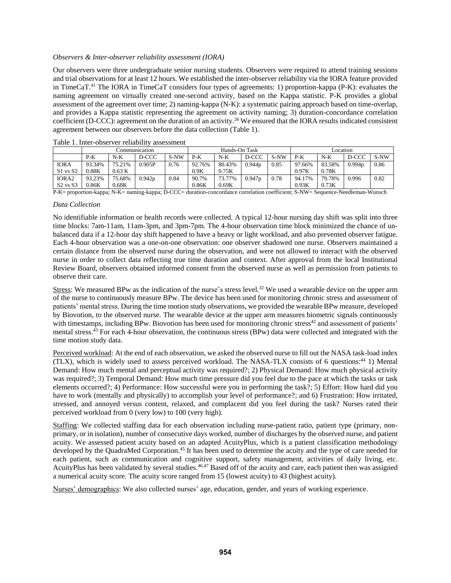# *Observers & Inter-observer reliability assessment (IORA)*

Our observers were three undergraduate senior nursing students. Observers were required to attend training sessions and trial observations for at least 12 hours. We established the inter-observer reliability via the IORA feature provided in TimeCaT.<sup>41</sup> The IORA in TimeCaT considers four types of agreements: 1) proportion-kappa (P-K): evaluates the naming agreement on virtually created one-second activity, based on the Kappa statistic. P-K provides a global assessment of the agreement over time; 2) naming-kappa (N-K): a systematic pairing approach based on time-overlap, and provides a Kappa statistic representing the agreement on activity naming; 3) duration-concordance correlation coefficient (D-CCC): agreement on the duration of an activity.<sup>26</sup> We ensured that the IORA results indicated consistent agreement between our observers before the data collection (Table 1).

|                   |        | Communication |        |      | Hands-On Task |        |        |      | Location |        |        |      |
|-------------------|--------|---------------|--------|------|---------------|--------|--------|------|----------|--------|--------|------|
|                   | $P-K$  | $N-K$         | D-CCC  | S-NW | P-K           | N-K    | D-CCC  | S-NW | $P-K$    | $N-K$  | D-CCC  | S-NW |
| <b>IORA</b>       | 93.34% | 75.21%        | 0.905P | 0.76 | 92.76%        | 80.43% | 0.944p | 0.85 | 97.66%   | 83.58% | 0.994p | 0.86 |
| $S1$ vs $S2$      | 0.88K  | 0.63 K        |        |      | 0.9K          | 0.75K  |        |      | 0.97K    | 0.78K  |        |      |
| IORA <sub>2</sub> | 93.23% | 75.68%        | 0.942p | 0.84 | 90.7%         | 73.77% | 0.947p | 0.78 | 94.17%   | 79.78% | 0.996  | 0.82 |
| $S2$ vs $S3$      | 0.86K  | 0.68K         |        |      | 0.86K         | 0.69K  |        |      | 0.93K    | 0.73K  |        |      |

Table 1. Inter-observer reliability assessment

P-K= proportion-kappa; N-K= naming-kappa; D-CCC= duration-concordance correlation coefficient; S-NW= Sequence-Needleman-Wunsch

## *Data Collection*

No identifiable information or health records were collected. A typical 12-hour nursing day shift was split into three time blocks: 7am-11am, 11am-3pm, and 3pm-7pm. The 4-hour observation time block minimized the chance of unbalanced data if a 12-hour day shift happened to have a heavy or light workload, and also prevented observer fatigue. Each 4-hour observation was a one-on-one observation: one observer shadowed one nurse. Observers maintained a certain distance from the observed nurse during the observation, and were not allowed to interact with the observed nurse in order to collect data reflecting true time duration and context. After approval from the local Institutional Review Board, observers obtained informed consent from the observed nurse as well as permission from patients to observe their care.

Stress: We measured BPw as the indication of the nurse's stress level.<sup>32</sup> We used a wearable device on the upper arm of the nurse to continuously measure BPw. The device has been used for monitoring chronic stress and assessment of patients' mental stress. During the time motion study observations, we provided the wearable BPw measure, developed by Biovotion, to the observed nurse. The wearable device at the upper arm measures biometric signals continuously with timestamps, including BPw. Biovotion has been used for monitoring chronic stress<sup>42</sup> and assessment of patients' mental stress.<sup>43</sup> For each 4-hour observation, the continuous stress (BPw) data were collected and integrated with the time motion study data.

Perceived workload: At the end of each observation, we asked the observed nurse to fill out the NASA task-load index (TLX), which is widely used to assess perceived workload. The NASA-TLX consists of 6 questions: <sup>44</sup> 1) Mental Demand: How much mental and perceptual activity was required?; 2) Physical Demand: How much physical activity was required?; 3) Temporal Demand: How much time pressure did you feel due to the pace at which the tasks or task elements occurred?; 4) Performance: How successful were you in performing the task?; 5) Effort: How hard did you have to work (mentally and physically) to accomplish your level of performance?; and 6) Frustration: How irritated, stressed, and annoyed versus content, relaxed, and complacent did you feel during the task? Nurses rated their perceived workload from 0 (very low) to 100 (very high).

Staffing: We collected staffing data for each observation including nurse-patient ratio, patient type (primary, nonprimary, or in isolation), number of consecutive days worked, number of discharges by the observed nurse, and patient acuity. We assessed patient acuity based on an adapted AcuityPlus, which is a patient classification methodology developed by the QuadraMed Corporation.<sup>45</sup> It has been used to determine the acuity and the type of care needed for each patient, such as communication and cognitive support, safety management, activities of daily living, etc. AcuityPlus has been validated by several studies.<sup>46,47</sup> Based off of the acuity and care, each patient then was assigned a numerical acuity score. The acuity score ranged from 15 (lowest acuity) to 43 (highest acuity).

Nurses' demographics: We also collected nurses' age, education, gender, and years of working experience.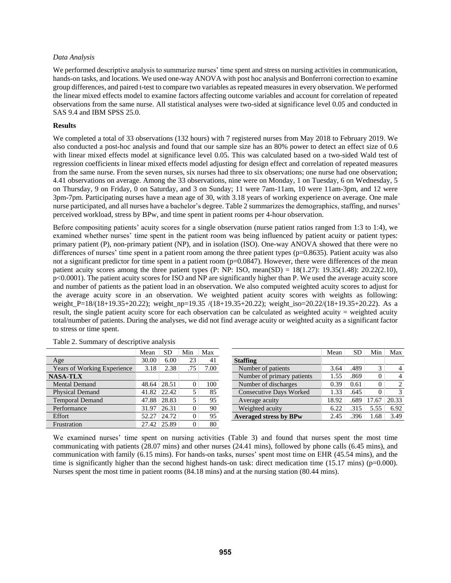#### *Data Analysis*

We performed descriptive analysis to summarize nurses' time spent and stress on nursing activities in communication, hands-on tasks, and locations. We used one-way ANOVA with post hoc analysis and Bonferroni correction to examine group differences, and paired t-test to compare two variables as repeated measures in every observation. We performed the linear mixed effects model to examine factors affecting outcome variables and account for correlation of repeated observations from the same nurse. All statistical analyses were two-sided at significance level 0.05 and conducted in SAS 9.4 and IBM SPSS 25.0.

## **Results**

We completed a total of 33 observations (132 hours) with 7 registered nurses from May 2018 to February 2019. We also conducted a post-hoc analysis and found that our sample size has an 80% power to detect an effect size of 0.6 with linear mixed effects model at significance level 0.05. This was calculated based on a two-sided Wald test of regression coefficients in linear mixed effects model adjusting for design effect and correlation of repeated measures from the same nurse. From the seven nurses, six nurses had three to six observations; one nurse had one observation; 4.41 observations on average. Among the 33 observations, nine were on Monday, 1 on Tuesday, 6 on Wednesday, 5 on Thursday, 9 on Friday, 0 on Saturday, and 3 on Sunday; 11 were 7am-11am, 10 were 11am-3pm, and 12 were 3pm-7pm. Participating nurses have a mean age of 30, with 3.18 years of working experience on average. One male nurse participated, and all nurses have a bachelor's degree. Table 2 summarizes the demographics, staffing, and nurses' perceived workload, stress by BPw, and time spent in patient rooms per 4-hour observation.

Before compositing patients' acuity scores for a single observation (nurse patient ratios ranged from 1:3 to 1:4), we examined whether nurses' time spent in the patient room was being influenced by patient acuity or patient types: primary patient (P), non-primary patient (NP), and in isolation (ISO). One-way ANOVA showed that there were no differences of nurses' time spent in a patient room among the three patient types (p=0.8635). Patient acuity was also not a significant predictor for time spent in a patient room (p=0.0847). However, there were differences of the mean patient acuity scores among the three patient types  $(P: NP: ISO, mean(SD) = 18(1.27): 19.35(1.48): 20.22(2.10),$ p<0.0001). The patient acuity scores for ISO and NP are significantly higher than P. We used the average acuity score and number of patients as the patient load in an observation. We also computed weighted acuity scores to adjust for the average acuity score in an observation. We weighted patient acuity scores with weights as following: weight\_P=18/(18+19.35+20.22); weight\_np=19.35 /(18+19.35+20.22); weight\_iso=20.22/(18+19.35+20.22). As a result, the single patient acuity score for each observation can be calculated as weighted acuity = weighted acuity total/number of patients. During the analyses, we did not find average acuity or weighted acuity as a significant factor to stress or time spent.

|                                    | Mean  | SD    | Min | Max  |
|------------------------------------|-------|-------|-----|------|
| Age                                | 30.00 | 6.00  | 23  | 41   |
| <b>Years of Working Experience</b> | 3.18  | 2.38  | .75 | 7.00 |
| <b>NASA-TLX</b>                    |       |       |     |      |
| <b>Mental Demand</b>               | 48.64 | 28.51 | 0   | 100  |
| Physical Demand                    | 41.82 | 22.42 | 5   | 85   |
| <b>Temporal Demand</b>             | 47.88 | 28.83 | 5   | 95   |
| Performance                        | 31.97 | 26.31 | 0   | 90   |
| Effort                             | 52.27 | 24.72 | 0   | 95   |
| Frustration                        | 27.42 | 25.89 | 0   | 80   |

|  |  | Table 2. Summary of descriptive analysis |  |
|--|--|------------------------------------------|--|
|--|--|------------------------------------------|--|

|                                | Mean  | SD   | Min   | Max            |
|--------------------------------|-------|------|-------|----------------|
| <b>Staffing</b>                |       |      |       |                |
| Number of patients             | 3.64  | .489 | 3     |                |
| Number of primary patients     | 1.55  | .869 | 0     |                |
| Number of discharges           | 0.39  | 0.61 | 0     | $\mathfrak{D}$ |
| <b>Consecutive Days Worked</b> | 1.33  | .645 | 0     | 3              |
| Average acuity                 | 18.92 | .689 | 17.67 | 20.33          |
| Weighted acuity                | 6.22  | .315 | 5.55  | 6.92           |
| <b>Averaged stress by BPw</b>  | 2.45  | .396 | 1.68  | 3.49           |
|                                |       |      |       |                |

We examined nurses' time spent on nursing activities (Table 3) and found that nurses spent the most time communicating with patients (28.07 mins) and other nurses (24.41 mins), followed by phone calls (6.45 mins), and communication with family (6.15 mins). For hands-on tasks, nurses' spent most time on EHR (45.54 mins), and the time is significantly higher than the second highest hands-on task: direct medication time (15.17 mins) ( $p=0.000$ ). Nurses spent the most time in patient rooms (84.18 mins) and at the nursing station (80.44 mins).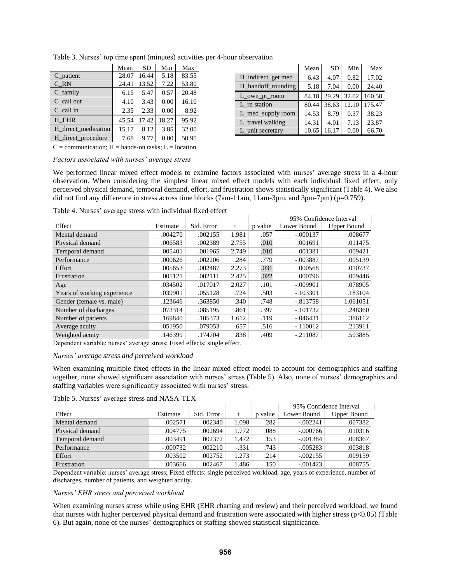|                     | Mean  | <b>SD</b> | Min   | Max   |
|---------------------|-------|-----------|-------|-------|
| $C$ patient         | 28.07 | 16.44     | 5.18  | 83.55 |
| C RN                | 24.41 | 13.52     | 7.22  | 53.80 |
| $C_f$ family        | 6.15  | 5.47      | 0.57  | 20.48 |
| C call out          | 4.10  | 3.43      | 0.00  | 16.10 |
| C call in           | 2.35  | 2.33      | 0.00  | 8.92  |
| H EHR               | 45.54 | 17.42     | 18.27 | 95.92 |
| H direct medication | 15.17 | 8.12      | 3.85  | 32.00 |
| H_direct_procedure  | 7.68  | 9.77      | 0.00  | 50.95 |

|                    | Mean  | <b>SD</b> | Min   | Max    |
|--------------------|-------|-----------|-------|--------|
| H_indirect_get med | 6.43  | 4.07      | 0.82  | 17.02  |
| H_handoff_rounding | 5.18  | 7.04      | 0.00  | 24.40  |
| L own pt room      | 84.18 | 29.29     | 32.02 | 160.58 |
| L rn station       | 80.44 | 38.63     | 12.10 | 175.47 |
| L_med_supply room  | 14.53 | 8.79      | 0.37  | 38.23  |
| L travel walking   | 14.31 | 4.01      | 7.13  | 23.87  |
| L unit secretary   | 10.65 | 16.17     | 0.00  | 66.70  |

# Table 3. Nurses' top time spent (minutes) activities per 4-hour observation

*Factors associated with nurses' average stress*

 $C =$  communication;  $H =$  hands-on tasks;  $L =$  location

We performed linear mixed effect models to examine factors associated with nurses' average stress in a 4-hour observation. When considering the simplest linear mixed effect models with each individual fixed effect, only perceived physical demand, temporal demand, effort, and frustration shows statistically significant (Table 4). We also did not find any difference in stress across time blocks (7am-11am, 11am-3pm, and 3pm-7pm) (p=0.759).

Table 4. Nurses' average stress with individual fixed effect

|                             |          |            |       |         |             | 95% Confidence Interval |
|-----------------------------|----------|------------|-------|---------|-------------|-------------------------|
| Effect                      | Estimate | Std. Error | t     | p value | Lower Bound | <b>Upper Bound</b>      |
| Mental demand               | .004270  | .002155    | 1.981 | .057    | $-.000137$  | .008677                 |
| Physical demand             | .006583  | .002389    | 2.755 | .010    | .001691     | .011475                 |
| Temporal demand             | .005401  | .001965    | 2.749 | .010    | .001381     | .009421                 |
| Performance                 | .000626  | .002206    | .284  | .779    | $-.003887$  | .005139                 |
| Effort                      | .005653  | .002487    | 2.273 | .031    | .000568     | .010737                 |
| Frustration                 | .005121  | .002111    | 2.425 | .022    | .000796     | .009446                 |
| Age                         | .034502  | .017017    | 2.027 | .101    | $-.009901$  | .078905                 |
| Years of working experience | .039901  | .055128    | .724  | .503    | $-.103301$  | .183104                 |
| Gender (female vs. male)    | .123646  | .363850    | .340  | .748    | $-.813758$  | 1.061051                |
| Number of discharges        | .073314  | .085195    | .861  | .397    | $-.101732$  | .248360                 |
| Number of patients          | .169840  | .105373    | 1.612 | .119    | $-.046431$  | .386112                 |
| Average acuity              | .051950  | .079053    | .657  | .516    | $-.110012$  | .213911                 |
| Weighted acuity             | .146399  | .174704    | .838  | .409    | $-.211087$  | .503885                 |

Dependent variable: nurses' average stress; Fixed effects: single effect.

## *Nurses' average stress and perceived workload*

When examining multiple fixed effects in the linear mixed effect model to account for demographics and staffing together, none showed significant association with nurses' stress (Table 5). Also, none of nurses' demographics and staffing variables were significantly associated with nurses' stress.

## Table 5. Nurses' average stress and NASA-TLX

| Table 5. INHOUS average stress and IN YOUN TERN |            |            |         |         |             |                         |  |  |  |
|-------------------------------------------------|------------|------------|---------|---------|-------------|-------------------------|--|--|--|
|                                                 |            |            |         |         |             | 95% Confidence Interval |  |  |  |
| Effect                                          | Estimate   | Std. Error |         | p value | Lower Bound | <b>Upper Bound</b>      |  |  |  |
| Mental demand                                   | .002571    | .002340    | 1.098   | .282    | $-.002241$  | .007382                 |  |  |  |
| Physical demand                                 | .004775    | .002694    | 1.772   | .088    | $-.000766$  | .010316                 |  |  |  |
| Temporal demand                                 | .003491    | .002372    | 1.472   | .153    | $-.001384$  | .008367                 |  |  |  |
| Performance                                     | $-.000732$ | .002210    | $-.331$ | .743    | $-.005283$  | .003818                 |  |  |  |
| Effort                                          | .003502    | .002752    | 1.273   | .214    | $-.002155$  | .009159                 |  |  |  |
| Frustration                                     | .003666    | .002467    | 1.486   | .150    | $-.001423$  | .008755                 |  |  |  |
|                                                 |            |            |         |         |             |                         |  |  |  |

Dependent variable: nurses' average stress; Fixed effects: single perceived workload, age, years of experience, number of discharges, number of patients, and weighted acuity.

# *Nurses' EHR stress and perceived workload*

When examining nurses stress while using EHR (EHR charting and review) and their perceived workload, we found that nurses with higher perceived physical demand and frustration were associated with higher stress (p<0.05) (Table 6). But again, none of the nurses' demographics or staffing showed statistical significance.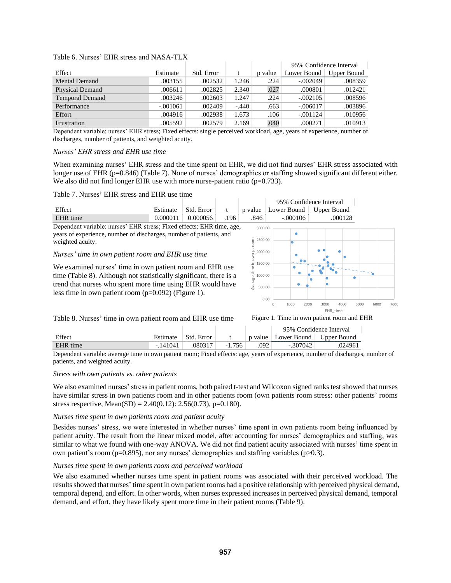## Table 6. Nurses' EHR stress and NASA-TLX

|                        |            |            |         |         | 95% Confidence Interval |             |
|------------------------|------------|------------|---------|---------|-------------------------|-------------|
| Effect                 | Estimate   | Std. Error |         | p value | Lower Bound             | Upper Bound |
| <b>Mental Demand</b>   | .003155    | .002532    | 1.246   | .224    | $-.002049$              | .008359     |
| <b>Physical Demand</b> | .006611    | .002825    | 2.340   | .027    | .000801                 | .012421     |
| <b>Temporal Demand</b> | .003246    | .002603    | 1.247   | .224    | $-.002105$              | .008596     |
| Performance            | $-.001061$ | .002409    | $-.440$ | .663    | $-.006017$              | .003896     |
| Effort                 | .004916    | .002938    | 1.673   | .106    | $-.001124$              | .010956     |
| Frustration            | .005592    | .002579    | 2.169   | .040    | .000271                 | .010913     |

Dependent variable: nurses' EHR stress; Fixed effects: single perceived workload, age, years of experience, number of discharges, number of patients, and weighted acuity.

#### *Nurses' EHR stress and EHR use time*

When examining nurses' EHR stress and the time spent on EHR, we did not find nurses' EHR stress associated with longer use of EHR (p=0.846) (Table 7). None of nurses' demographics or staffing showed significant different either. We also did not find longer EHR use with more nurse-patient ratio (p=0.733).

## Table 7. Nurses' EHR stress and EHR use time



## Table 8. Nurses' time in own patient room and EHR use time

|          |           |              |          |      | 95% Confidence Interval             |         |  |
|----------|-----------|--------------|----------|------|-------------------------------------|---------|--|
| Effect   | Estimate  | - Std. Error |          |      | p value   Lower Bound   Upper Bound |         |  |
| EHR time | $-141041$ | .080317      | $-1.756$ | .092 | $-307042$                           | .024961 |  |

Dependent variable: average time in own patient room; Fixed effects: age, years of experience, number of discharges, number of patients, and weighted acuity.

Figure 1. Time in own patient room and EHR

#### *Stress with own patients vs. other patients*

We also examined nurses' stress in patient rooms, both paired t-test and Wilcoxon signed ranks test showed that nurses have similar stress in own patients room and in other patients room (own patients room stress: other patients' rooms stress respective, Mean(SD) = 2.40(0.12): 2.56(0.73), p=0.180).

#### *Nurses time spent in own patients room and patient acuity*

Besides nurses' stress, we were interested in whether nurses' time spent in own patients room being influenced by patient acuity. The result from the linear mixed model, after accounting for nurses' demographics and staffing, was similar to what we found with one-way ANOVA. We did not find patient acuity associated with nurses' time spent in own patient's room (p=0.895), nor any nurses' demographics and staffing variables (p $>0.3$ ).

## *Nurses time spent in own patients room and perceived workload*

We also examined whether nurses time spent in patient rooms was associated with their perceived workload. The results showed that nurses' time spent in own patient rooms had a positive relationship with perceived physical demand, temporal depend, and effort. In other words, when nurses expressed increases in perceived physical demand, temporal demand, and effort, they have likely spent more time in their patient rooms (Table 9).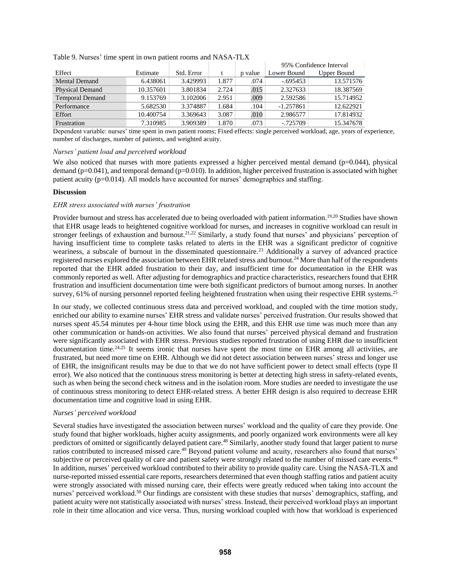|                        |           |            |       |         | 95% Confidence Interval |                    |
|------------------------|-----------|------------|-------|---------|-------------------------|--------------------|
| Effect                 | Estimate  | Std. Error | t     | p value | Lower Bound             | <b>Upper Bound</b> |
| <b>Mental Demand</b>   | 6.438061  | 3.429993   | 1.877 | .074    | $-.695453$              | 13.571576          |
| Physical Demand        | 10.357601 | 3.801834   | 2.724 | .015    | 2.327633                | 18.387569          |
| <b>Temporal Demand</b> | 9.153769  | 3.102006   | 2.951 | .009    | 2.592586                | 15.714952          |
| Performance            | 5.682530  | 3.374887   | 1.684 | .104    | $-1.257861$             | 12.622921          |
| Effort                 | 10.400754 | 3.369643   | 3.087 | .010    | 2.986577                | 17.814932          |
| Frustration            | 7.310985  | 3.909389   | 1.870 | .073    | $-0.725709$             | 15.347678          |

Table 9. Nurses' time spent in own patient rooms and NASA-TLX

Dependent variable: nurses' time spent in own patient rooms; Fixed effects: single perceived workload, age, years of experience, number of discharges, number of patients, and weighted acuity.

# *Nurses' patient load and perceived workload*

We also noticed that nurses with more patients expressed a higher perceived mental demand ( $p=0.044$ ), physical demand (p=0.041), and temporal demand (p=0.010). In addition, higher perceived frustration is associated with higher patient acuity  $(p=0.014)$ . All models have accounted for nurses' demographics and staffing.

# **Discussion**

# *EHR stress associated with nurses' frustration*

Provider burnout and stress has accelerated due to being overloaded with patient information.<sup>19,20</sup> Studies have shown that EHR usage leads to heightened cognitive workload for nurses, and increases in cognitive workload can result in stronger feelings of exhaustion and burnout.<sup>21,22</sup> Similarly, a study found that nurses' and physicians' perception of having insufficient time to complete tasks related to alerts in the EHR was a significant predictor of cognitive weariness, a subscale of burnout in the disseminated questionnaire.<sup>23</sup> Additionally a survey of advanced practice registered nurses explored the association between EHR related stress and burnout.<sup>24</sup> More than half of the respondents reported that the EHR added frustration to their day, and insufficient time for documentation in the EHR was commonly reported as well. After adjusting for demographics and practice characteristics, researchers found that EHR frustration and insufficient documentation time were both significant predictors of burnout among nurses. In another survey, 61% of nursing personnel reported feeling heightened frustration when using their respective EHR systems.<sup>25</sup>

In our study, we collected continuous stress data and perceived workload, and coupled with the time motion study, enriched our ability to examine nurses' EHR stress and validate nurses' perceived frustration. Our results showed that nurses spent 45.54 minutes per 4-hour time block using the EHR, and this EHR use time was much more than any other communication or hands-on activities. We also found that nurses' perceived physical demand and frustration were significantly associated with EHR stress. Previous studies reported frustration of using EHR due to insufficient documentation time.<sup>24,25</sup> It seems ironic that nurses have spent the most time on EHR among all activities, are frustrated, but need more time on EHR. Although we did not detect association between nurses' stress and longer use of EHR, the insignificant results may be due to that we do not have sufficient power to detect small effects (type II error). We also noticed that the continuous stress monitoring is better at detecting high stress in safety-related events, such as when being the second check witness and in the isolation room. More studies are needed to investigate the use of continuous stress monitoring to detect EHR-related stress. A better EHR design is also required to decrease EHR documentation time and cognitive load in using EHR.

## *Nurses' perceived workload*

Several studies have investigated the association between nurses' workload and the quality of care they provide. One study found that higher workloads, higher acuity assignments, and poorly organized work environments were all key predictors of omitted or significantly delayed patient care.<sup>48</sup> Similarly, another study found that larger patient to nurse ratios contributed to increased missed care.<sup>49</sup> Beyond patient volume and acuity, researchers also found that nurses' subjective or perceived quality of care and patient safety were strongly related to the number of missed care events.<sup>49</sup> In addition, nurses' perceived workload contributed to their ability to provide quality care. Using the NASA-TLX and nurse-reported missed essential care reports, researchers determined that even though staffing ratios and patient acuity were strongly associated with missed nursing care, their effects were greatly reduced when taking into account the nurses' perceived workload.<sup>50</sup> Our findings are consistent with these studies that nurses' demographics, staffing, and patient acuity were not statistically associated with nurses' stress. Instead, their perceived workload plays an important role in their time allocation and vice versa. Thus, nursing workload coupled with how that workload is experienced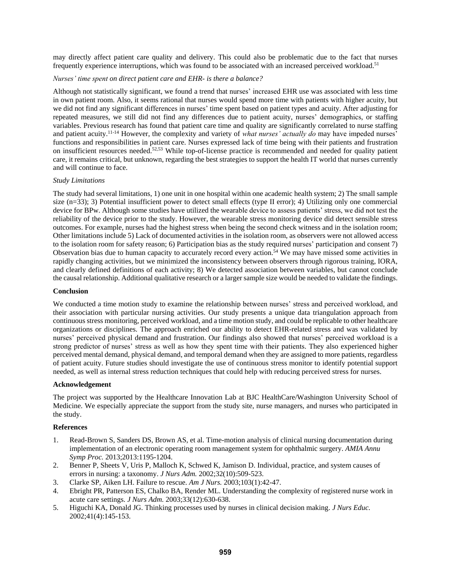may directly affect patient care quality and delivery. This could also be problematic due to the fact that nurses frequently experience interruptions, which was found to be associated with an increased perceived workload.<sup>51</sup>

# *Nurses' time spent on direct patient care and EHR- is there a balance?*

Although not statistically significant, we found a trend that nurses' increased EHR use was associated with less time in own patient room. Also, it seems rational that nurses would spend more time with patients with higher acuity, but we did not find any significant differences in nurses' time spent based on patient types and acuity. After adjusting for repeated measures, we still did not find any differences due to patient acuity, nurses' demographics, or staffing variables. Previous research has found that patient care time and quality are significantly correlated to nurse staffing and patient acuity. 11-14 However, the complexity and variety of *what nurses' actually do* may have impeded nurses' functions and responsibilities in patient care. Nurses expressed lack of time being with their patients and frustration on insufficient resources needed. 52,53 While top-of-license practice is recommended and needed for quality patient care, it remains critical, but unknown, regarding the best strategies to support the health IT world that nurses currently and will continue to face.

# *Study Limitations*

The study had several limitations, 1) one unit in one hospital within one academic health system; 2) The small sample size  $(n=33)$ ; 3) Potential insufficient power to detect small effects (type II error); 4) Utilizing only one commercial device for BPw. Although some studies have utilized the wearable device to assess patients' stress, we did not test the reliability of the device prior to the study. However, the wearable stress monitoring device did detect sensible stress outcomes. For example, nurses had the highest stress when being the second check witness and in the isolation room; Other limitations include 5) Lack of documented activities in the isolation room, as observers were not allowed access to the isolation room for safety reason; 6) Participation bias as the study required nurses' participation and consent 7) Observation bias due to human capacity to accurately record every action.<sup>54</sup> We may have missed some activities in rapidly changing activities, but we minimized the inconsistency between observers through rigorous training, IORA, and clearly defined definitions of each activity; 8) We detected association between variables, but cannot conclude the causal relationship. Additional qualitative research or a larger sample size would be needed to validate the findings.

## **Conclusion**

We conducted a time motion study to examine the relationship between nurses' stress and perceived workload, and their association with particular nursing activities. Our study presents a unique data triangulation approach from continuous stress monitoring, perceived workload, and a time motion study, and could be replicable to other healthcare organizations or disciplines. The approach enriched our ability to detect EHR-related stress and was validated by nurses' perceived physical demand and frustration. Our findings also showed that nurses' perceived workload is a strong predictor of nurses' stress as well as how they spent time with their patients. They also experienced higher perceived mental demand, physical demand, and temporal demand when they are assigned to more patients, regardless of patient acuity. Future studies should investigate the use of continuous stress monitor to identify potential support needed, as well as internal stress reduction techniques that could help with reducing perceived stress for nurses.

## **Acknowledgement**

The project was supported by the Healthcare Innovation Lab at BJC HealthCare/Washington University School of Medicine. We especially appreciate the support from the study site, nurse managers, and nurses who participated in the study.

# **References**

- 1. Read-Brown S, Sanders DS, Brown AS, et al. Time-motion analysis of clinical nursing documentation during implementation of an electronic operating room management system for ophthalmic surgery. *AMIA Annu Symp Proc.* 2013;2013:1195-1204.
- 2. Benner P, Sheets V, Uris P, Malloch K, Schwed K, Jamison D. Individual, practice, and system causes of errors in nursing: a taxonomy. *J Nurs Adm.* 2002;32(10):509-523.
- 3. Clarke SP, Aiken LH. Failure to rescue. *Am J Nurs.* 2003;103(1):42-47.
- 4. Ebright PR, Patterson ES, Chalko BA, Render ML. Understanding the complexity of registered nurse work in acute care settings. *J Nurs Adm.* 2003;33(12):630-638.
- 5. Higuchi KA, Donald JG. Thinking processes used by nurses in clinical decision making. *J Nurs Educ.*  2002;41(4):145-153.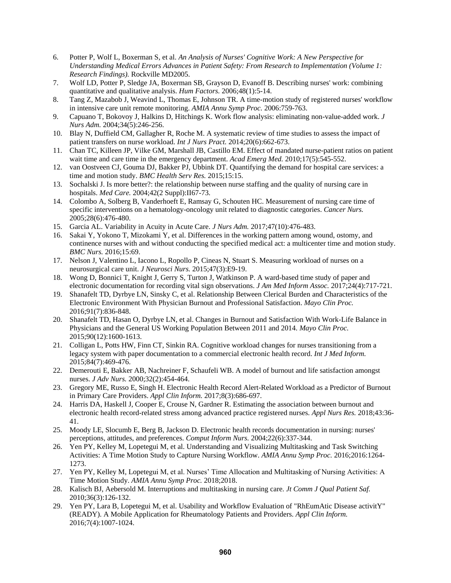- 6. Potter P, Wolf L, Boxerman S, et al. *An Analysis of Nurses' Cognitive Work: A New Perspective for Understanding Medical Errors Advances in Patient Safety: From Research to Implementation (Volume 1: Research Findings).* Rockville MD2005.
- 7. Wolf LD, Potter P, Sledge JA, Boxerman SB, Grayson D, Evanoff B. Describing nurses' work: combining quantitative and qualitative analysis. *Hum Factors.* 2006;48(1):5-14.
- 8. Tang Z, Mazabob J, Weavind L, Thomas E, Johnson TR. A time-motion study of registered nurses' workflow in intensive care unit remote monitoring. *AMIA Annu Symp Proc.* 2006:759-763.
- 9. Capuano T, Bokovoy J, Halkins D, Hitchings K. Work flow analysis: eliminating non-value-added work. *J Nurs Adm.* 2004;34(5):246-256.
- 10. Blay N, Duffield CM, Gallagher R, Roche M. A systematic review of time studies to assess the impact of patient transfers on nurse workload. *Int J Nurs Pract.* 2014;20(6):662-673.
- 11. Chan TC, Killeen JP, Vilke GM, Marshall JB, Castillo EM. Effect of mandated nurse-patient ratios on patient wait time and care time in the emergency department. *Acad Emerg Med.* 2010;17(5):545-552.
- 12. van Oostveen CJ, Gouma DJ, Bakker PJ, Ubbink DT. Quantifying the demand for hospital care services: a time and motion study. *BMC Health Serv Res.* 2015;15:15.
- 13. Sochalski J. Is more better?: the relationship between nurse staffing and the quality of nursing care in hospitals. *Med Care.* 2004;42(2 Suppl):II67-73.
- 14. Colombo A, Solberg B, Vanderhoeft E, Ramsay G, Schouten HC. Measurement of nursing care time of specific interventions on a hematology-oncology unit related to diagnostic categories. *Cancer Nurs.*  2005;28(6):476-480.
- 15. Garcia AL. Variability in Acuity in Acute Care. *J Nurs Adm.* 2017;47(10):476-483.
- 16. Sakai Y, Yokono T, Mizokami Y, et al. Differences in the working pattern among wound, ostomy, and continence nurses with and without conducting the specified medical act: a multicenter time and motion study. *BMC Nurs.* 2016;15:69.
- 17. Nelson J, Valentino L, Iacono L, Ropollo P, Cineas N, Stuart S. Measuring workload of nurses on a neurosurgical care unit. *J Neurosci Nurs.* 2015;47(3):E9-19.
- 18. Wong D, Bonnici T, Knight J, Gerry S, Turton J, Watkinson P. A ward-based time study of paper and electronic documentation for recording vital sign observations. *J Am Med Inform Assoc.* 2017;24(4):717-721.
- 19. Shanafelt TD, Dyrbye LN, Sinsky C, et al. Relationship Between Clerical Burden and Characteristics of the Electronic Environment With Physician Burnout and Professional Satisfaction. *Mayo Clin Proc.*  2016;91(7):836-848.
- 20. Shanafelt TD, Hasan O, Dyrbye LN, et al. Changes in Burnout and Satisfaction With Work-Life Balance in Physicians and the General US Working Population Between 2011 and 2014. *Mayo Clin Proc.*  2015;90(12):1600-1613.
- 21. Colligan L, Potts HW, Finn CT, Sinkin RA. Cognitive workload changes for nurses transitioning from a legacy system with paper documentation to a commercial electronic health record. *Int J Med Inform.*  2015;84(7):469-476.
- 22. Demerouti E, Bakker AB, Nachreiner F, Schaufeli WB. A model of burnout and life satisfaction amongst nurses. *J Adv Nurs.* 2000;32(2):454-464.
- 23. Gregory ME, Russo E, Singh H. Electronic Health Record Alert-Related Workload as a Predictor of Burnout in Primary Care Providers. *Appl Clin Inform.* 2017;8(3):686-697.
- 24. Harris DA, Haskell J, Cooper E, Crouse N, Gardner R. Estimating the association between burnout and electronic health record-related stress among advanced practice registered nurses. *Appl Nurs Res.* 2018;43:36- 41.
- 25. Moody LE, Slocumb E, Berg B, Jackson D. Electronic health records documentation in nursing: nurses' perceptions, attitudes, and preferences. *Comput Inform Nurs.* 2004;22(6):337-344.
- 26. Yen PY, Kelley M, Lopetegui M, et al. Understanding and Visualizing Multitasking and Task Switching Activities: A Time Motion Study to Capture Nursing Workflow. *AMIA Annu Symp Proc.* 2016;2016:1264- 1273.
- 27. Yen PY, Kelley M, Lopetegui M, et al. Nurses' Time Allocation and Multitasking of Nursing Activities: A Time Motion Study. *AMIA Annu Symp Proc.* 2018;2018.
- 28. Kalisch BJ, Aebersold M. Interruptions and multitasking in nursing care. *Jt Comm J Qual Patient Saf.*  2010;36(3):126-132.
- 29. Yen PY, Lara B, Lopetegui M, et al. Usability and Workflow Evaluation of "RhEumAtic Disease activitY" (READY). A Mobile Application for Rheumatology Patients and Providers. *Appl Clin Inform.*  2016;7(4):1007-1024.